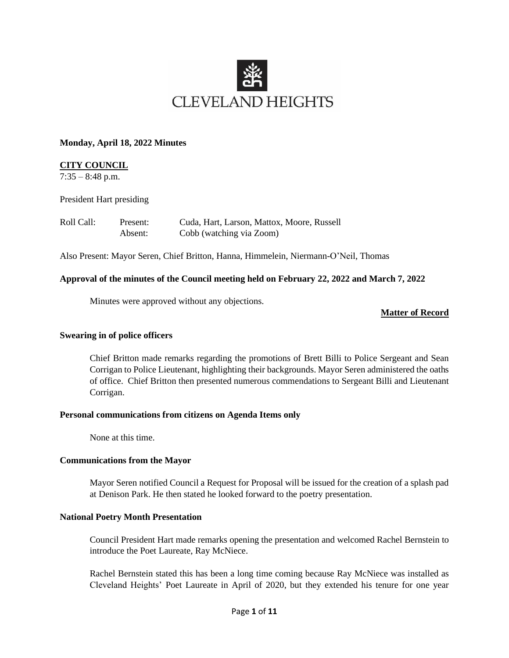

#### **Monday, April 18, 2022 Minutes**

### **CITY COUNCIL**

 $7:35 - 8:48$  p.m.

President Hart presiding

| Roll Call: | Present: | Cuda, Hart, Larson, Mattox, Moore, Russell |
|------------|----------|--------------------------------------------|
|            | Absent:  | Cobb (watching via Zoom)                   |

Also Present: Mayor Seren, Chief Britton, Hanna, Himmelein, Niermann-O'Neil, Thomas

#### **Approval of the minutes of the Council meeting held on February 22, 2022 and March 7, 2022**

Minutes were approved without any objections.

**Matter of Record**

#### **Swearing in of police officers**

Chief Britton made remarks regarding the promotions of Brett Billi to Police Sergeant and Sean Corrigan to Police Lieutenant, highlighting their backgrounds. Mayor Seren administered the oaths of office. Chief Britton then presented numerous commendations to Sergeant Billi and Lieutenant Corrigan.

#### **Personal communications from citizens on Agenda Items only**

None at this time.

#### **Communications from the Mayor**

Mayor Seren notified Council a Request for Proposal will be issued for the creation of a splash pad at Denison Park. He then stated he looked forward to the poetry presentation.

#### **National Poetry Month Presentation**

Council President Hart made remarks opening the presentation and welcomed Rachel Bernstein to introduce the Poet Laureate, Ray McNiece.

Rachel Bernstein stated this has been a long time coming because Ray McNiece was installed as Cleveland Heights' Poet Laureate in April of 2020, but they extended his tenure for one year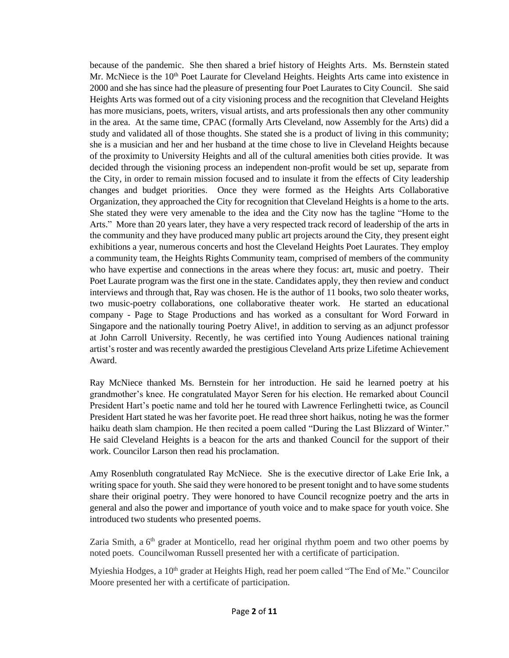because of the pandemic. She then shared a brief history of Heights Arts. Ms. Bernstein stated Mr. McNiece is the 10<sup>th</sup> Poet Laurate for Cleveland Heights. Heights Arts came into existence in 2000 and she has since had the pleasure of presenting four Poet Laurates to City Council. She said Heights Arts was formed out of a city visioning process and the recognition that Cleveland Heights has more musicians, poets, writers, visual artists, and arts professionals then any other community in the area. At the same time, CPAC (formally Arts Cleveland, now Assembly for the Arts) did a study and validated all of those thoughts. She stated she is a product of living in this community; she is a musician and her and her husband at the time chose to live in Cleveland Heights because of the proximity to University Heights and all of the cultural amenities both cities provide. It was decided through the visioning process an independent non-profit would be set up, separate from the City, in order to remain mission focused and to insulate it from the effects of City leadership changes and budget priorities. Once they were formed as the Heights Arts Collaborative Organization, they approached the City for recognition that Cleveland Heights is a home to the arts. She stated they were very amenable to the idea and the City now has the tagline "Home to the Arts." More than 20 years later, they have a very respected track record of leadership of the arts in the community and they have produced many public art projects around the City, they present eight exhibitions a year, numerous concerts and host the Cleveland Heights Poet Laurates. They employ a community team, the Heights Rights Community team, comprised of members of the community who have expertise and connections in the areas where they focus: art, music and poetry. Their Poet Laurate program was the first one in the state. Candidates apply, they then review and conduct interviews and through that, Ray was chosen. He is the author of 11 books, two solo theater works, two music-poetry collaborations, one collaborative theater work. He started an educational company - Page to Stage Productions and has worked as a consultant for Word Forward in Singapore and the nationally touring Poetry Alive!, in addition to serving as an adjunct professor at John Carroll University. Recently, he was certified into Young Audiences national training artist's roster and was recently awarded the prestigious Cleveland Arts prize Lifetime Achievement Award.

Ray McNiece thanked Ms. Bernstein for her introduction. He said he learned poetry at his grandmother's knee. He congratulated Mayor Seren for his election. He remarked about Council President Hart's poetic name and told her he toured with Lawrence Ferlinghetti twice, as Council President Hart stated he was her favorite poet. He read three short haikus, noting he was the former haiku death slam champion. He then recited a poem called "During the Last Blizzard of Winter." He said Cleveland Heights is a beacon for the arts and thanked Council for the support of their work. Councilor Larson then read his proclamation.

Amy Rosenbluth congratulated Ray McNiece. She is the executive director of Lake Erie Ink, a writing space for youth. She said they were honored to be present tonight and to have some students share their original poetry. They were honored to have Council recognize poetry and the arts in general and also the power and importance of youth voice and to make space for youth voice. She introduced two students who presented poems.

Zaria Smith, a 6<sup>th</sup> grader at Monticello, read her original rhythm poem and two other poems by noted poets. Councilwoman Russell presented her with a certificate of participation.

Myieshia Hodges, a 10<sup>th</sup> grader at Heights High, read her poem called "The End of Me." Councilor Moore presented her with a certificate of participation.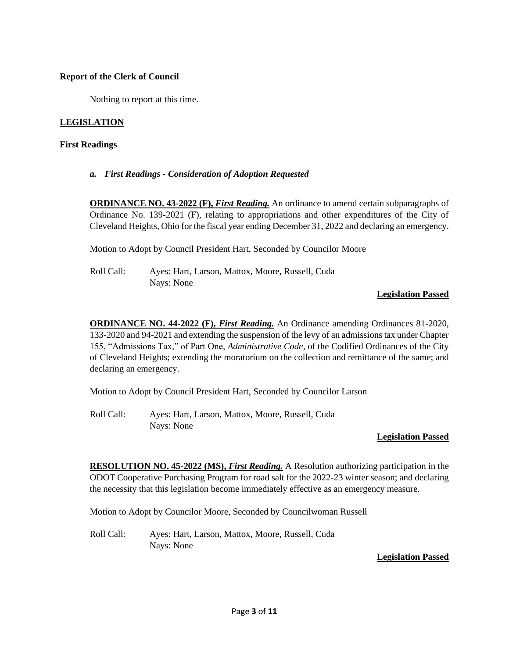### **Report of the Clerk of Council**

Nothing to report at this time.

### **LEGISLATION**

### **First Readings**

*a. First Readings - Consideration of Adoption Requested*

**ORDINANCE NO. 43-2022 (F),** *First Reading.* An ordinance to amend certain subparagraphs of Ordinance No. 139-2021 (F), relating to appropriations and other expenditures of the City of Cleveland Heights, Ohio for the fiscal year ending December 31, 2022 and declaring an emergency.

Motion to Adopt by Council President Hart, Seconded by Councilor Moore

Roll Call: Ayes: Hart, Larson, Mattox, Moore, Russell, Cuda Nays: None

### **Legislation Passed**

**ORDINANCE NO. 44-2022 (F),** *First Reading.* An Ordinance amending Ordinances 81-2020, 133-2020 and 94-2021 and extending the suspension of the levy of an admissions tax under Chapter 155, "Admissions Tax," of Part One, *Administrative Code*, of the Codified Ordinances of the City of Cleveland Heights; extending the moratorium on the collection and remittance of the same; and declaring an emergency.

Motion to Adopt by Council President Hart, Seconded by Councilor Larson

Roll Call: Ayes: Hart, Larson, Mattox, Moore, Russell, Cuda Nays: None

#### **Legislation Passed**

**RESOLUTION NO. 45-2022 (MS),** *First Reading.* A Resolution authorizing participation in the ODOT Cooperative Purchasing Program for road salt for the 2022-23 winter season; and declaring the necessity that this legislation become immediately effective as an emergency measure.

Motion to Adopt by Councilor Moore, Seconded by Councilwoman Russell

Roll Call: Ayes: Hart, Larson, Mattox, Moore, Russell, Cuda Nays: None

# **Legislation Passed**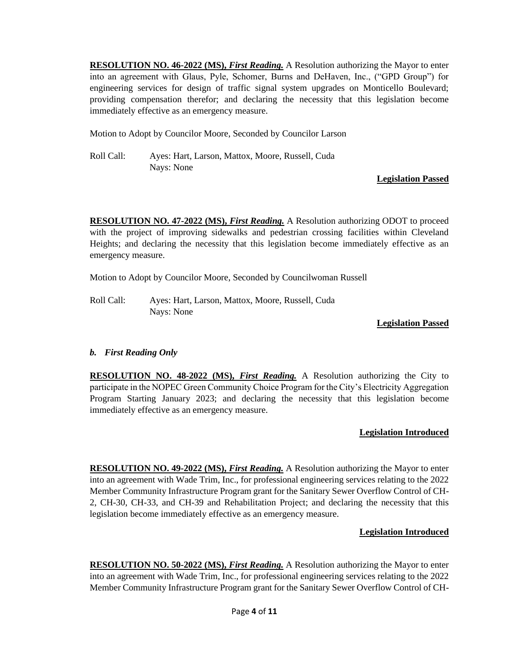**RESOLUTION NO. 46-2022 (MS),** *First Reading.* A Resolution authorizing the Mayor to enter into an agreement with Glaus, Pyle, Schomer, Burns and DeHaven, Inc., ("GPD Group") for engineering services for design of traffic signal system upgrades on Monticello Boulevard; providing compensation therefor; and declaring the necessity that this legislation become immediately effective as an emergency measure.

Motion to Adopt by Councilor Moore, Seconded by Councilor Larson

Roll Call: Ayes: Hart, Larson, Mattox, Moore, Russell, Cuda Nays: None

# **Legislation Passed**

**RESOLUTION NO. 47-2022 (MS),** *First Reading.* A Resolution authorizing ODOT to proceed with the project of improving sidewalks and pedestrian crossing facilities within Cleveland Heights; and declaring the necessity that this legislation become immediately effective as an emergency measure.

Motion to Adopt by Councilor Moore, Seconded by Councilwoman Russell

Roll Call: Ayes: Hart, Larson, Mattox, Moore, Russell, Cuda Nays: None

# **Legislation Passed**

# *b. First Reading Only*

**RESOLUTION NO. 48-2022 (MS),** *First Reading.* A Resolution authorizing the City to participate in the NOPEC Green Community Choice Program for the City's Electricity Aggregation Program Starting January 2023; and declaring the necessity that this legislation become immediately effective as an emergency measure.

# **Legislation Introduced**

**RESOLUTION NO. 49-2022 (MS),** *First Reading.* A Resolution authorizing the Mayor to enter into an agreement with Wade Trim, Inc., for professional engineering services relating to the 2022 Member Community Infrastructure Program grant for the Sanitary Sewer Overflow Control of CH-2, CH-30, CH-33, and CH-39 and Rehabilitation Project; and declaring the necessity that this legislation become immediately effective as an emergency measure.

# **Legislation Introduced**

**RESOLUTION NO. 50-2022 (MS),** *First Reading*. A Resolution authorizing the Mayor to enter into an agreement with Wade Trim, Inc., for professional engineering services relating to the 2022 Member Community Infrastructure Program grant for the Sanitary Sewer Overflow Control of CH-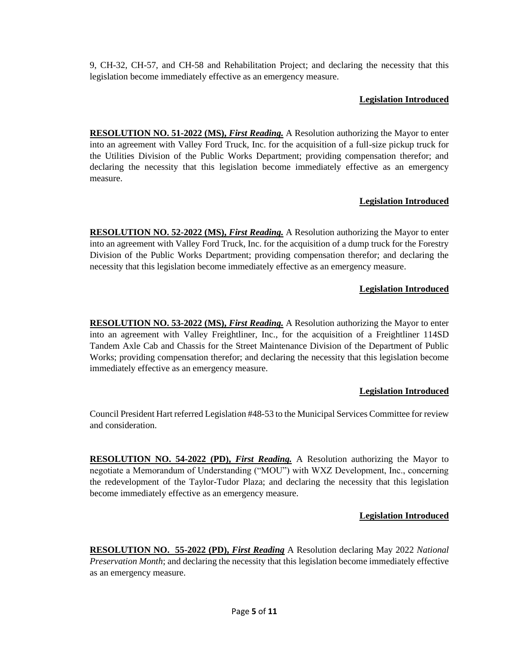9, CH-32, CH-57, and CH-58 and Rehabilitation Project; and declaring the necessity that this legislation become immediately effective as an emergency measure.

# **Legislation Introduced**

**RESOLUTION NO. 51-2022 (MS),** *First Reading.* A Resolution authorizing the Mayor to enter into an agreement with Valley Ford Truck, Inc. for the acquisition of a full-size pickup truck for the Utilities Division of the Public Works Department; providing compensation therefor; and declaring the necessity that this legislation become immediately effective as an emergency measure.

# **Legislation Introduced**

**RESOLUTION NO. 52-2022 (MS),** *First Reading*. A Resolution authorizing the Mayor to enter into an agreement with Valley Ford Truck, Inc. for the acquisition of a dump truck for the Forestry Division of the Public Works Department; providing compensation therefor; and declaring the necessity that this legislation become immediately effective as an emergency measure.

# **Legislation Introduced**

**RESOLUTION NO. 53-2022 (MS),** *First Reading.* A Resolution authorizing the Mayor to enter into an agreement with Valley Freightliner, Inc., for the acquisition of a Freightliner 114SD Tandem Axle Cab and Chassis for the Street Maintenance Division of the Department of Public Works; providing compensation therefor; and declaring the necessity that this legislation become immediately effective as an emergency measure.

# **Legislation Introduced**

Council President Hart referred Legislation #48-53 to the Municipal Services Committee for review and consideration.

**RESOLUTION NO. 54-2022 (PD),** *First Reading.* A Resolution authorizing the Mayor to negotiate a Memorandum of Understanding ("MOU") with WXZ Development, Inc., concerning the redevelopment of the Taylor-Tudor Plaza; and declaring the necessity that this legislation become immediately effective as an emergency measure.

# **Legislation Introduced**

**RESOLUTION NO. 55-2022 (PD),** *First Reading* A Resolution declaring May 2022 *National Preservation Month*; and declaring the necessity that this legislation become immediately effective as an emergency measure.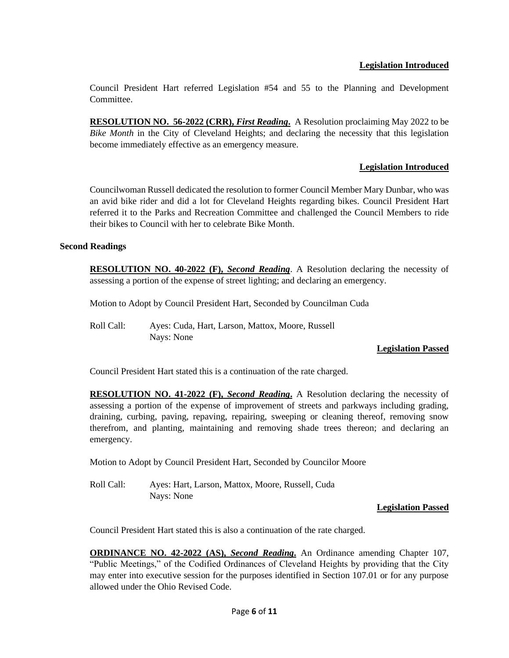# **Legislation Introduced**

Council President Hart referred Legislation #54 and 55 to the Planning and Development **Committee** 

**RESOLUTION NO. 56-2022 (CRR),** *First Reading***.** A Resolution proclaiming May 2022 to be *Bike Month* in the City of Cleveland Heights; and declaring the necessity that this legislation become immediately effective as an emergency measure.

### **Legislation Introduced**

Councilwoman Russell dedicated the resolution to former Council Member Mary Dunbar, who was an avid bike rider and did a lot for Cleveland Heights regarding bikes. Council President Hart referred it to the Parks and Recreation Committee and challenged the Council Members to ride their bikes to Council with her to celebrate Bike Month.

#### **Second Readings**

**RESOLUTION NO. 40-2022 (F),** *Second Reading*. A Resolution declaring the necessity of assessing a portion of the expense of street lighting; and declaring an emergency.

Motion to Adopt by Council President Hart, Seconded by Councilman Cuda

Roll Call: Ayes: Cuda, Hart, Larson, Mattox, Moore, Russell Nays: None

#### **Legislation Passed**

Council President Hart stated this is a continuation of the rate charged.

**RESOLUTION NO. 41-2022 (F),** *Second Reading***.** A Resolution declaring the necessity of assessing a portion of the expense of improvement of streets and parkways including grading, draining, curbing, paving, repaving, repairing, sweeping or cleaning thereof, removing snow therefrom, and planting, maintaining and removing shade trees thereon; and declaring an emergency.

Motion to Adopt by Council President Hart, Seconded by Councilor Moore

Roll Call: Ayes: Hart, Larson, Mattox, Moore, Russell, Cuda Nays: None

#### **Legislation Passed**

Council President Hart stated this is also a continuation of the rate charged.

**ORDINANCE NO. 42-2022 (AS),** *Second Reading***.** An Ordinance amending Chapter 107, "Public Meetings," of the Codified Ordinances of Cleveland Heights by providing that the City may enter into executive session for the purposes identified in Section 107.01 or for any purpose allowed under the Ohio Revised Code.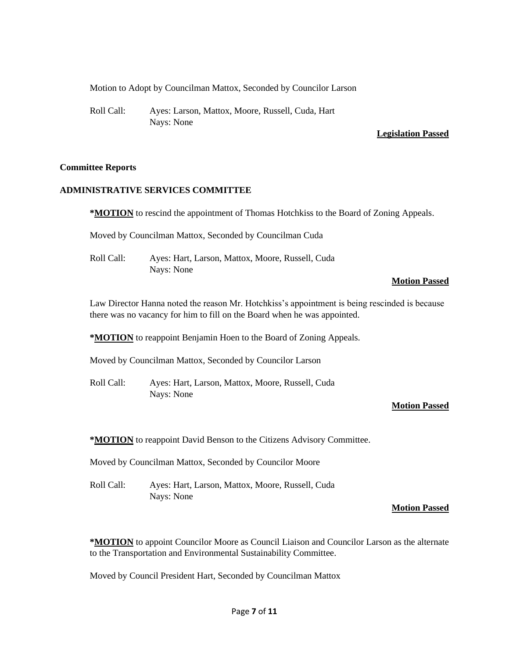Motion to Adopt by Councilman Mattox, Seconded by Councilor Larson

Roll Call: Ayes: Larson, Mattox, Moore, Russell, Cuda, Hart Nays: None

#### **Legislation Passed**

#### **Committee Reports**

#### **ADMINISTRATIVE SERVICES COMMITTEE**

**\*MOTION** to rescind the appointment of Thomas Hotchkiss to the Board of Zoning Appeals.

Moved by Councilman Mattox, Seconded by Councilman Cuda

Roll Call: Ayes: Hart, Larson, Mattox, Moore, Russell, Cuda Nays: None

#### **Motion Passed**

Law Director Hanna noted the reason Mr. Hotchkiss's appointment is being rescinded is because there was no vacancy for him to fill on the Board when he was appointed.

**\*MOTION** to reappoint Benjamin Hoen to the Board of Zoning Appeals.

Moved by Councilman Mattox, Seconded by Councilor Larson

Roll Call: Ayes: Hart, Larson, Mattox, Moore, Russell, Cuda Nays: None

#### **Motion Passed**

**\*MOTION** to reappoint David Benson to the Citizens Advisory Committee.

Moved by Councilman Mattox, Seconded by Councilor Moore

Roll Call: Ayes: Hart, Larson, Mattox, Moore, Russell, Cuda Nays: None

#### **Motion Passed**

**\*MOTION** to appoint Councilor Moore as Council Liaison and Councilor Larson as the alternate to the Transportation and Environmental Sustainability Committee.

Moved by Council President Hart, Seconded by Councilman Mattox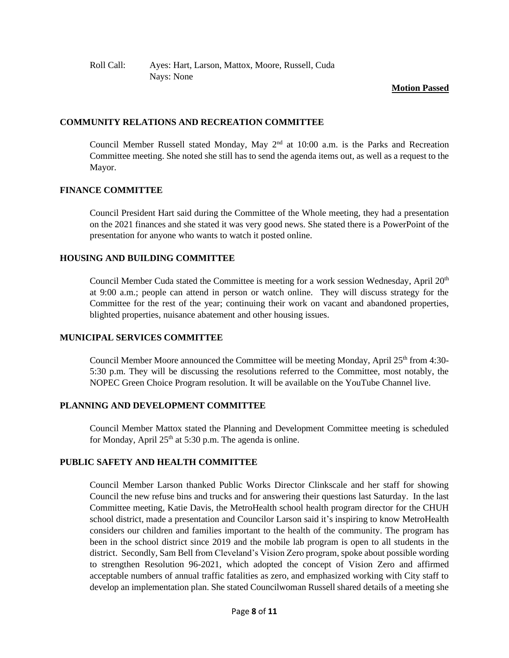### **Motion Passed**

### **COMMUNITY RELATIONS AND RECREATION COMMITTEE**

Council Member Russell stated Monday, May  $2<sup>nd</sup>$  at 10:00 a.m. is the Parks and Recreation Committee meeting. She noted she still has to send the agenda items out, as well as a request to the Mayor.

### **FINANCE COMMITTEE**

Council President Hart said during the Committee of the Whole meeting, they had a presentation on the 2021 finances and she stated it was very good news. She stated there is a PowerPoint of the presentation for anyone who wants to watch it posted online.

# **HOUSING AND BUILDING COMMITTEE**

Council Member Cuda stated the Committee is meeting for a work session Wednesday, April  $20<sup>th</sup>$ at 9:00 a.m.; people can attend in person or watch online. They will discuss strategy for the Committee for the rest of the year; continuing their work on vacant and abandoned properties, blighted properties, nuisance abatement and other housing issues.

# **MUNICIPAL SERVICES COMMITTEE**

Council Member Moore announced the Committee will be meeting Monday, April  $25<sup>th</sup>$  from 4:30-5:30 p.m. They will be discussing the resolutions referred to the Committee, most notably, the NOPEC Green Choice Program resolution. It will be available on the YouTube Channel live.

# **PLANNING AND DEVELOPMENT COMMITTEE**

Council Member Mattox stated the Planning and Development Committee meeting is scheduled for Monday, April  $25<sup>th</sup>$  at 5:30 p.m. The agenda is online.

# **PUBLIC SAFETY AND HEALTH COMMITTEE**

Council Member Larson thanked Public Works Director Clinkscale and her staff for showing Council the new refuse bins and trucks and for answering their questions last Saturday. In the last Committee meeting, Katie Davis, the MetroHealth school health program director for the CHUH school district, made a presentation and Councilor Larson said it's inspiring to know MetroHealth considers our children and families important to the health of the community. The program has been in the school district since 2019 and the mobile lab program is open to all students in the district. Secondly, Sam Bell from Cleveland's Vision Zero program, spoke about possible wording to strengthen Resolution 96-2021, which adopted the concept of Vision Zero and affirmed acceptable numbers of annual traffic fatalities as zero, and emphasized working with City staff to develop an implementation plan. She stated Councilwoman Russell shared details of a meeting she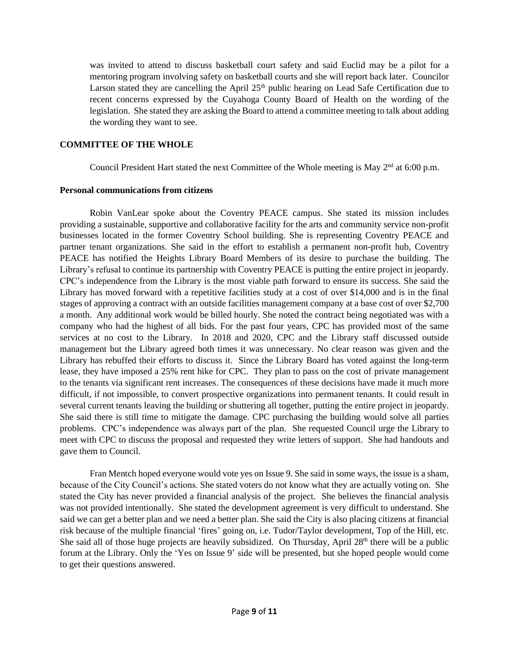was invited to attend to discuss basketball court safety and said Euclid may be a pilot for a mentoring program involving safety on basketball courts and she will report back later. Councilor Larson stated they are cancelling the April 25<sup>th</sup> public hearing on Lead Safe Certification due to recent concerns expressed by the Cuyahoga County Board of Health on the wording of the legislation. She stated they are asking the Board to attend a committee meeting to talk about adding the wording they want to see.

### **COMMITTEE OF THE WHOLE**

Council President Hart stated the next Committee of the Whole meeting is May  $2<sup>nd</sup>$  at 6:00 p.m.

#### **Personal communications from citizens**

Robin VanLear spoke about the Coventry PEACE campus. She stated its mission includes providing a sustainable, supportive and collaborative facility for the arts and community service non-profit businesses located in the former Coventry School building. She is representing Coventry PEACE and partner tenant organizations. She said in the effort to establish a permanent non-profit hub, Coventry PEACE has notified the Heights Library Board Members of its desire to purchase the building. The Library's refusal to continue its partnership with Coventry PEACE is putting the entire project in jeopardy. CPC's independence from the Library is the most viable path forward to ensure its success. She said the Library has moved forward with a repetitive facilities study at a cost of over \$14,000 and is in the final stages of approving a contract with an outside facilities management company at a base cost of over \$2,700 a month. Any additional work would be billed hourly. She noted the contract being negotiated was with a company who had the highest of all bids. For the past four years, CPC has provided most of the same services at no cost to the Library. In 2018 and 2020, CPC and the Library staff discussed outside management but the Library agreed both times it was unnecessary. No clear reason was given and the Library has rebuffed their efforts to discuss it. Since the Library Board has voted against the long-term lease, they have imposed a 25% rent hike for CPC. They plan to pass on the cost of private management to the tenants via significant rent increases. The consequences of these decisions have made it much more difficult, if not impossible, to convert prospective organizations into permanent tenants. It could result in several current tenants leaving the building or shuttering all together, putting the entire project in jeopardy. She said there is still time to mitigate the damage. CPC purchasing the building would solve all parties problems. CPC's independence was always part of the plan. She requested Council urge the Library to meet with CPC to discuss the proposal and requested they write letters of support. She had handouts and gave them to Council.

Fran Mentch hoped everyone would vote yes on Issue 9. She said in some ways, the issue is a sham, because of the City Council's actions. She stated voters do not know what they are actually voting on. She stated the City has never provided a financial analysis of the project. She believes the financial analysis was not provided intentionally. She stated the development agreement is very difficult to understand. She said we can get a better plan and we need a better plan. She said the City is also placing citizens at financial risk because of the multiple financial 'fires' going on, i.e. Tudor/Taylor development, Top of the Hill, etc. She said all of those huge projects are heavily subsidized. On Thursday, April 28<sup>th</sup> there will be a public forum at the Library. Only the 'Yes on Issue 9' side will be presented, but she hoped people would come to get their questions answered.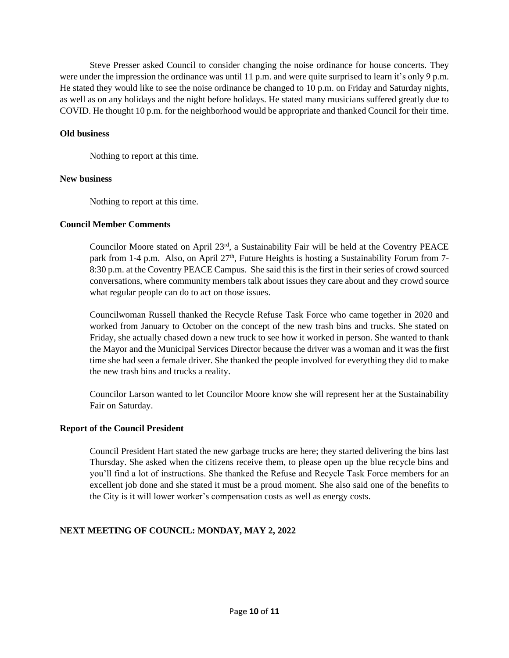Steve Presser asked Council to consider changing the noise ordinance for house concerts. They were under the impression the ordinance was until 11 p.m. and were quite surprised to learn it's only 9 p.m. He stated they would like to see the noise ordinance be changed to 10 p.m. on Friday and Saturday nights, as well as on any holidays and the night before holidays. He stated many musicians suffered greatly due to COVID. He thought 10 p.m. for the neighborhood would be appropriate and thanked Council for their time.

#### **Old business**

Nothing to report at this time.

#### **New business**

Nothing to report at this time.

#### **Council Member Comments**

Councilor Moore stated on April 23<sup>rd</sup>, a Sustainability Fair will be held at the Coventry PEACE park from 1-4 p.m. Also, on April  $27<sup>th</sup>$ , Future Heights is hosting a Sustainability Forum from 7-8:30 p.m. at the Coventry PEACE Campus. She said this is the first in their series of crowd sourced conversations, where community members talk about issues they care about and they crowd source what regular people can do to act on those issues.

Councilwoman Russell thanked the Recycle Refuse Task Force who came together in 2020 and worked from January to October on the concept of the new trash bins and trucks. She stated on Friday, she actually chased down a new truck to see how it worked in person. She wanted to thank the Mayor and the Municipal Services Director because the driver was a woman and it was the first time she had seen a female driver. She thanked the people involved for everything they did to make the new trash bins and trucks a reality.

Councilor Larson wanted to let Councilor Moore know she will represent her at the Sustainability Fair on Saturday.

#### **Report of the Council President**

Council President Hart stated the new garbage trucks are here; they started delivering the bins last Thursday. She asked when the citizens receive them, to please open up the blue recycle bins and you'll find a lot of instructions. She thanked the Refuse and Recycle Task Force members for an excellent job done and she stated it must be a proud moment. She also said one of the benefits to the City is it will lower worker's compensation costs as well as energy costs.

#### **NEXT MEETING OF COUNCIL: MONDAY, MAY 2, 2022**